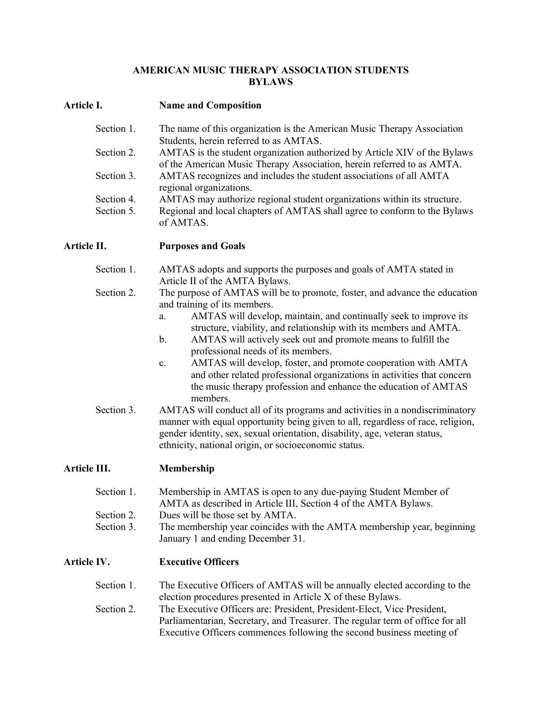# **AMERICAN MUSIC THERAPY ASSOCIATION STUDENTS BYLAWS**

# **Article I. Name and Composition**

| The name of this organization is the American Music Therapy Association                       |
|-----------------------------------------------------------------------------------------------|
| Students, herein referred to as AMTAS.                                                        |
| AMTAS is the student organization authorized by Article XIV of the Bylaws                     |
| of the American Music Therapy Association, herein referred to as AMTA.                        |
| AMTAS recognizes and includes the student associations of all AMTA<br>regional organizations. |
| AMTAS may authorize regional student organizations within its structure.                      |
|                                                                                               |
| Regional and local chapters of AMTAS shall agree to conform to the Bylaws<br>of AMTAS.        |
|                                                                                               |

**Article II. Purposes and Goals**

- Section 1. AMTAS adopts and supports the purposes and goals of AMTA stated in Article II of the AMTA Bylaws.
- Section 2. The purpose of AMTAS will be to promote, foster, and advance the education and training of its members.
	- a. AMTAS will develop, maintain, and continually seek to improve its structure, viability, and relationship with its members and AMTA.
	- b. AMTAS will actively seek out and promote means to fulfill the professional needs of its members.
	- c. AMTAS will develop, foster, and promote cooperation with AMTA and other related professional organizations in activities that concern the music therapy profession and enhance the education of AMTAS members.
- Section 3. AMTAS will conduct all of its programs and activities in a nondiscriminatory manner with equal opportunity being given to all, regardless of race, religion, gender identity, sex, sexual orientation, disability, age, veteran status, ethnicity, national origin, or socioeconomic status.

# **Article III. Membership**

| Section 1. | Membership in AMTAS is open to any due-paying Student Member of |
|------------|-----------------------------------------------------------------|
|            | AMTA as described in Article III, Section 4 of the AMTA Bylaws. |
| Section 2. | Dues will be those set by AMTA.                                 |

Section 3. The membership year coincides with the AMTA membership year, beginning January 1 and ending December 31.

## **Article IV. Executive Officers**

| Section 1. | The Executive Officers of AMTAS will be annually elected according to the     |
|------------|-------------------------------------------------------------------------------|
|            | election procedures presented in Article X of these Bylaws.                   |
| Section 2. | The Executive Officers are: President, President-Elect, Vice President,       |
|            | Parliamentarian, Secretary, and Treasurer. The regular term of office for all |
|            | Executive Officers commences following the second business meeting of         |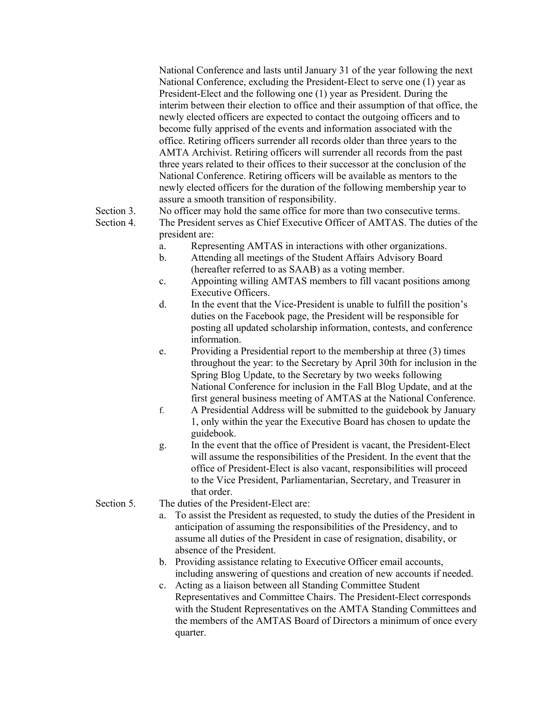National Conference and lasts until January 31 of the year following the next National Conference, excluding the President-Elect to serve one (1) year as President-Elect and the following one (1) year as President. During the interim between their election to office and their assumption of that office, the newly elected officers are expected to contact the outgoing officers and to become fully apprised of the events and information associated with the office. Retiring officers surrender all records older than three years to the AMTA Archivist. Retiring officers will surrender all records from the past three years related to their offices to their successor at the conclusion of the National Conference. Retiring officers will be available as mentors to the newly elected officers for the duration of the following membership year to assure a smooth transition of responsibility.

Section 3. No officer may hold the same office for more than two consecutive terms.

Section 4. The President serves as Chief Executive Officer of AMTAS. The duties of the president are:

- a. Representing AMTAS in interactions with other organizations.
- b. Attending all meetings of the Student Affairs Advisory Board (hereafter referred to as SAAB) as a voting member.
- c. Appointing willing AMTAS members to fill vacant positions among Executive Officers.
- d. In the event that the Vice-President is unable to fulfill the position's duties on the Facebook page, the President will be responsible for posting all updated scholarship information, contests, and conference information.
- e. Providing a Presidential report to the membership at three (3) times throughout the year: to the Secretary by April 30th for inclusion in the Spring Blog Update, to the Secretary by two weeks following National Conference for inclusion in the Fall Blog Update, and at the first general business meeting of AMTAS at the National Conference.
- f. A Presidential Address will be submitted to the guidebook by January 1, only within the year the Executive Board has chosen to update the guidebook.
- g. In the event that the office of President is vacant, the President-Elect will assume the responsibilities of the President. In the event that the office of President-Elect is also vacant, responsibilities will proceed to the Vice President, Parliamentarian, Secretary, and Treasurer in that order.
- Section 5. The duties of the President-Elect are:
	- a. To assist the President as requested, to study the duties of the President in anticipation of assuming the responsibilities of the Presidency, and to assume all duties of the President in case of resignation, disability, or absence of the President.
	- b. Providing assistance relating to Executive Officer email accounts, including answering of questions and creation of new accounts if needed.
	- c. Acting as a liaison between all Standing Committee Student Representatives and Committee Chairs. The President-Elect corresponds with the Student Representatives on the AMTA Standing Committees and the members of the AMTAS Board of Directors a minimum of once every quarter.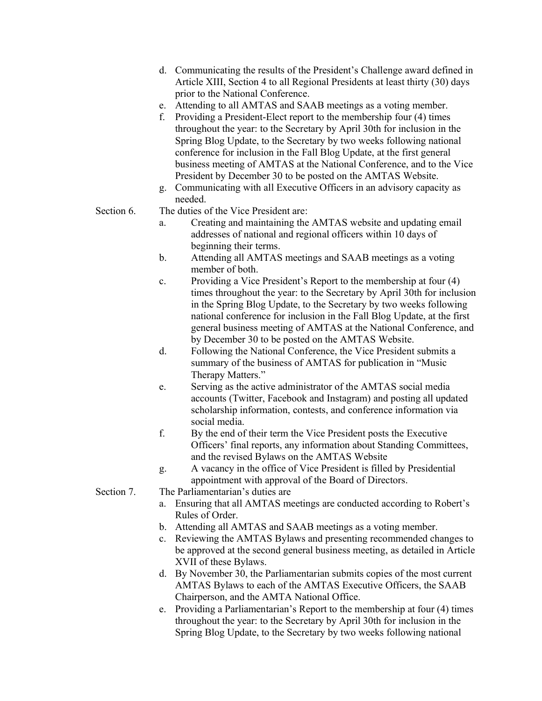- d. Communicating the results of the President's Challenge award defined in Article XIII, Section 4 to all Regional Presidents at least thirty (30) days prior to the National Conference.
- e. Attending to all AMTAS and SAAB meetings as a voting member.
- f. Providing a President-Elect report to the membership four (4) times throughout the year: to the Secretary by April 30th for inclusion in the Spring Blog Update, to the Secretary by two weeks following national conference for inclusion in the Fall Blog Update, at the first general business meeting of AMTAS at the National Conference, and to the Vice President by December 30 to be posted on the AMTAS Website.
- g. Communicating with all Executive Officers in an advisory capacity as needed.
- Section 6. The duties of the Vice President are:
	- a. Creating and maintaining the AMTAS website and updating email addresses of national and regional officers within 10 days of beginning their terms.
	- b. Attending all AMTAS meetings and SAAB meetings as a voting member of both.
	- c. Providing a Vice President's Report to the membership at four (4) times throughout the year: to the Secretary by April 30th for inclusion in the Spring Blog Update, to the Secretary by two weeks following national conference for inclusion in the Fall Blog Update, at the first general business meeting of AMTAS at the National Conference, and by December 30 to be posted on the AMTAS Website.
	- d. Following the National Conference, the Vice President submits a summary of the business of AMTAS for publication in "Music Therapy Matters."
	- e. Serving as the active administrator of the AMTAS social media accounts (Twitter, Facebook and Instagram) and posting all updated scholarship information, contests, and conference information via social media.
	- f. By the end of their term the Vice President posts the Executive Officers' final reports, any information about Standing Committees, and the revised Bylaws on the AMTAS Website
	- g. A vacancy in the office of Vice President is filled by Presidential appointment with approval of the Board of Directors.
- Section 7. The Parliamentarian's duties are
	- a. Ensuring that all AMTAS meetings are conducted according to Robert's Rules of Order.
	- b. Attending all AMTAS and SAAB meetings as a voting member.
	- c. Reviewing the AMTAS Bylaws and presenting recommended changes to be approved at the second general business meeting, as detailed in Article XVII of these Bylaws.
	- d. By November 30, the Parliamentarian submits copies of the most current AMTAS Bylaws to each of the AMTAS Executive Officers, the SAAB Chairperson, and the AMTA National Office.
	- e. Providing a Parliamentarian's Report to the membership at four (4) times throughout the year: to the Secretary by April 30th for inclusion in the Spring Blog Update, to the Secretary by two weeks following national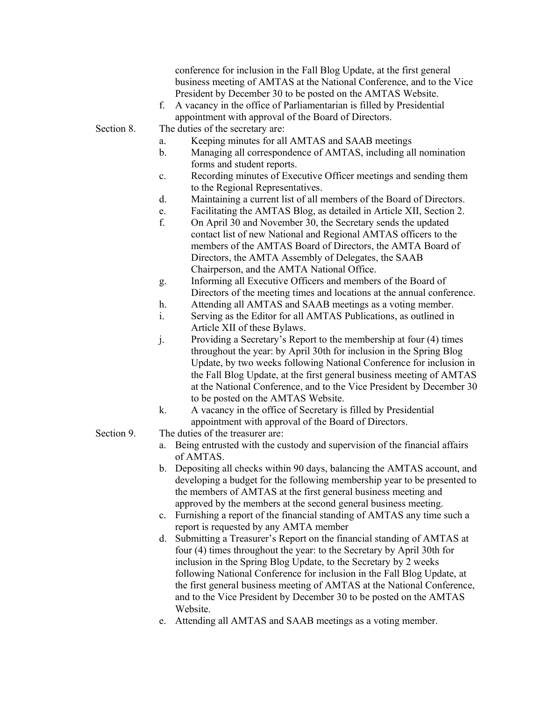|            | conference for inclusion in the Fall Blog Update, at the first general<br>business meeting of AMTAS at the National Conference, and to the Vice<br>President by December 30 to be posted on the AMTAS Website.<br>A vacancy in the office of Parliamentarian is filled by Presidential<br>f.<br>appointment with approval of the Board of Directors. |
|------------|------------------------------------------------------------------------------------------------------------------------------------------------------------------------------------------------------------------------------------------------------------------------------------------------------------------------------------------------------|
| Section 8. | The duties of the secretary are:                                                                                                                                                                                                                                                                                                                     |
|            | Keeping minutes for all AMTAS and SAAB meetings<br>a.                                                                                                                                                                                                                                                                                                |
|            | $\mathbf b$ .<br>Managing all correspondence of AMTAS, including all nomination<br>forms and student reports.                                                                                                                                                                                                                                        |
|            | Recording minutes of Executive Officer meetings and sending them<br>$\mathbf{c}$ .                                                                                                                                                                                                                                                                   |
|            | to the Regional Representatives.                                                                                                                                                                                                                                                                                                                     |
|            | Maintaining a current list of all members of the Board of Directors.<br>d.                                                                                                                                                                                                                                                                           |
|            | Facilitating the AMTAS Blog, as detailed in Article XII, Section 2.<br>e.                                                                                                                                                                                                                                                                            |
|            | f.<br>On April 30 and November 30, the Secretary sends the updated<br>contact list of new National and Regional AMTAS officers to the                                                                                                                                                                                                                |
|            | members of the AMTAS Board of Directors, the AMTA Board of                                                                                                                                                                                                                                                                                           |
|            |                                                                                                                                                                                                                                                                                                                                                      |
|            | Directors, the AMTA Assembly of Delegates, the SAAB                                                                                                                                                                                                                                                                                                  |
|            | Chairperson, and the AMTA National Office.                                                                                                                                                                                                                                                                                                           |
|            | Informing all Executive Officers and members of the Board of<br>g.                                                                                                                                                                                                                                                                                   |
|            | Directors of the meeting times and locations at the annual conference.                                                                                                                                                                                                                                                                               |
|            | h.<br>Attending all AMTAS and SAAB meetings as a voting member.                                                                                                                                                                                                                                                                                      |
|            | i.<br>Serving as the Editor for all AMTAS Publications, as outlined in                                                                                                                                                                                                                                                                               |
|            | Article XII of these Bylaws.                                                                                                                                                                                                                                                                                                                         |
|            | j.<br>Providing a Secretary's Report to the membership at four (4) times<br>throughout the year: by April 30th for inclusion in the Spring Blog<br>Update, by two weeks following National Conference for inclusion in                                                                                                                               |
|            | the Fall Blog Update, at the first general business meeting of AMTAS                                                                                                                                                                                                                                                                                 |
|            | at the National Conference, and to the Vice President by December 30                                                                                                                                                                                                                                                                                 |
|            | to be posted on the AMTAS Website.                                                                                                                                                                                                                                                                                                                   |
|            | k.<br>A vacancy in the office of Secretary is filled by Presidential                                                                                                                                                                                                                                                                                 |
|            | appointment with approval of the Board of Directors.                                                                                                                                                                                                                                                                                                 |
| Section 9. | The duties of the treasurer are:                                                                                                                                                                                                                                                                                                                     |
|            | Being entrusted with the custody and supervision of the financial affairs<br>a.<br>of AMTAS.                                                                                                                                                                                                                                                         |
|            | Depositing all checks within 90 days, balancing the AMTAS account, and<br>$\mathbf{b}$ .<br>developing a budget for the following membership year to be presented to<br>the members of AMTAS at the first general business meeting and<br>approved by the members at the second general business meeting.                                            |
|            | Furnishing a report of the financial standing of AMTAS any time such a<br>c.<br>report is requested by any AMTA member                                                                                                                                                                                                                               |
|            |                                                                                                                                                                                                                                                                                                                                                      |

- d. Submitting a Treasurer's Report on the financial standing of AMTAS at four (4) times throughout the year: to the Secretary by April 30th for inclusion in the Spring Blog Update, to the Secretary by 2 weeks following National Conference for inclusion in the Fall Blog Update, at the first general business meeting of AMTAS at the National Conference, and to the Vice President by December 30 to be posted on the AMTAS Website.
- e. Attending all AMTAS and SAAB meetings as a voting member.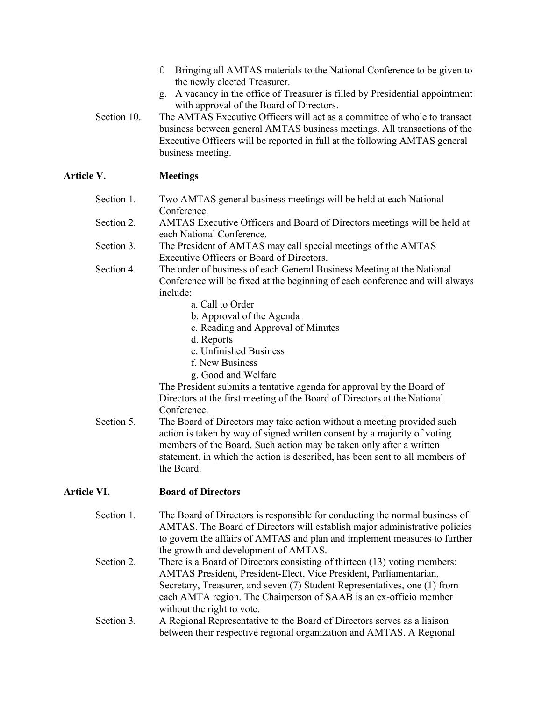- f. Bringing all AMTAS materials to the National Conference to be given to the newly elected Treasurer.
- g. A vacancy in the office of Treasurer is filled by Presidential appointment with approval of the Board of Directors.
- Section 10. The AMTAS Executive Officers will act as a committee of whole to transact business between general AMTAS business meetings. All transactions of the Executive Officers will be reported in full at the following AMTAS general business meeting.

# **Article V. Meetings**

| Section 1. | Two AMTAS general business meetings will be held at each National                                     |
|------------|-------------------------------------------------------------------------------------------------------|
|            | Conference.                                                                                           |
| Section 2. | AMTAS Executive Officers and Board of Directors meetings will be held at<br>each National Conference. |
| Section 3. | The President of AMTAS may call special meetings of the AMTAS                                         |
|            | Executive Officers or Board of Directors.                                                             |
| Section 4. | The order of business of each General Business Meeting at the National                                |
|            | Conference will be fixed at the beginning of each conference and will always                          |
|            | include:                                                                                              |
|            | a. Call to Order                                                                                      |
|            | b. Approval of the Agenda                                                                             |
|            | c. Reading and Approval of Minutes                                                                    |
|            | d. Reports                                                                                            |
|            | e. Unfinished Business                                                                                |
|            | f. New Business                                                                                       |
|            | g. Good and Welfare                                                                                   |
|            | The President submits a tentative agenda for approval by the Board of                                 |
|            | Directors at the first meeting of the Board of Directors at the National                              |
|            | Conference.                                                                                           |
| Section 5. | The Board of Directors may take action without a meeting provided such                                |
|            | action is taken by way of signed written consent by a majority of voting                              |
|            | members of the Board. Such action may be taken only after a written                                   |
|            | statement, in which the action is described, has been sent to all members of                          |
|            | the Board.                                                                                            |
|            |                                                                                                       |

# **Article VI. Board of Directors**

- Section 1. The Board of Directors is responsible for conducting the normal business of AMTAS. The Board of Directors will establish major administrative policies to govern the affairs of AMTAS and plan and implement measures to further the growth and development of AMTAS.
- Section 2. There is a Board of Directors consisting of thirteen (13) voting members: AMTAS President, President-Elect, Vice President, Parliamentarian, Secretary, Treasurer, and seven (7) Student Representatives, one (1) from each AMTA region. The Chairperson of SAAB is an ex-officio member without the right to vote.
- Section 3. A Regional Representative to the Board of Directors serves as a liaison between their respective regional organization and AMTAS. A Regional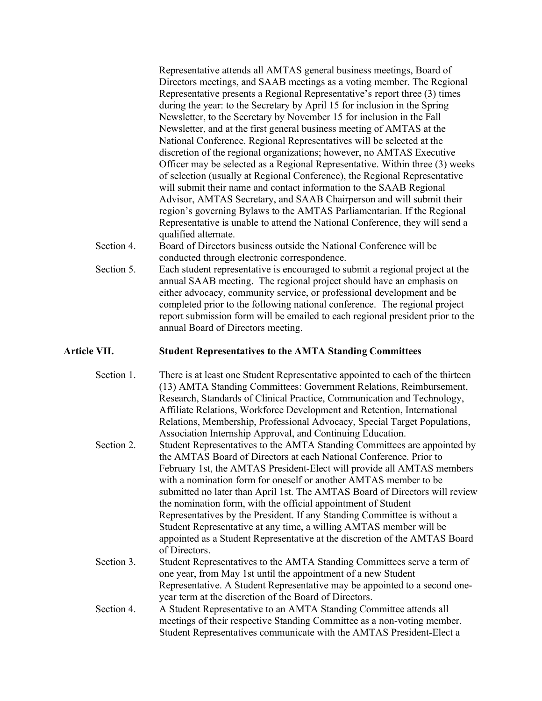Representative attends all AMTAS general business meetings, Board of Directors meetings, and SAAB meetings as a voting member. The Regional Representative presents a Regional Representative's report three (3) times during the year: to the Secretary by April 15 for inclusion in the Spring Newsletter, to the Secretary by November 15 for inclusion in the Fall Newsletter, and at the first general business meeting of AMTAS at the National Conference. Regional Representatives will be selected at the discretion of the regional organizations; however, no AMTAS Executive Officer may be selected as a Regional Representative. Within three (3) weeks of selection (usually at Regional Conference), the Regional Representative will submit their name and contact information to the SAAB Regional Advisor, AMTAS Secretary, and SAAB Chairperson and will submit their region's governing Bylaws to the AMTAS Parliamentarian. If the Regional Representative is unable to attend the National Conference, they will send a qualified alternate.

Section 4. Board of Directors business outside the National Conference will be conducted through electronic correspondence.

Section 5. Each student representative is encouraged to submit a regional project at the annual SAAB meeting. The regional project should have an emphasis on either advocacy, community service, or professional development and be completed prior to the following national conference. The regional project report submission form will be emailed to each regional president prior to the annual Board of Directors meeting.

## **Article VII. Student Representatives to the AMTA Standing Committees**

Section 1. There is at least one Student Representative appointed to each of the thirteen (13) AMTA Standing Committees: Government Relations, Reimbursement, Research, Standards of Clinical Practice, Communication and Technology, Affiliate Relations, Workforce Development and Retention, International Relations, Membership, Professional Advocacy, Special Target Populations, Association Internship Approval, and Continuing Education. Section 2. Student Representatives to the AMTA Standing Committees are appointed by the AMTAS Board of Directors at each National Conference. Prior to February 1st, the AMTAS President-Elect will provide all AMTAS members with a nomination form for oneself or another AMTAS member to be submitted no later than April 1st. The AMTAS Board of Directors will review the nomination form, with the official appointment of Student Representatives by the President. If any Standing Committee is without a Student Representative at any time, a willing AMTAS member will be appointed as a Student Representative at the discretion of the AMTAS Board of Directors. Section 3. Student Representatives to the AMTA Standing Committees serve a term of one year, from May 1st until the appointment of a new Student Representative. A Student Representative may be appointed to a second oneyear term at the discretion of the Board of Directors. Section 4. A Student Representative to an AMTA Standing Committee attends all meetings of their respective Standing Committee as a non-voting member. Student Representatives communicate with the AMTAS President-Elect a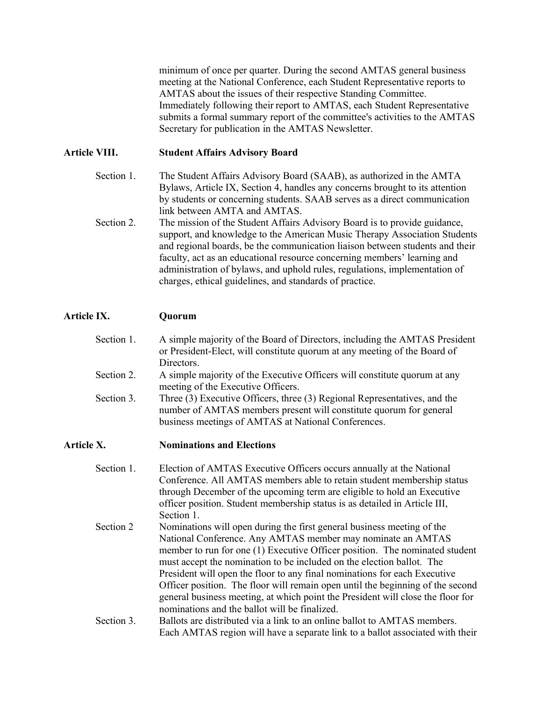minimum of once per quarter. During the second AMTAS general business meeting at the National Conference, each Student Representative reports to AMTAS about the issues of their respective Standing Committee. Immediately following their report to AMTAS, each Student Representative submits a formal summary report of the committee's activities to the AMTAS Secretary for publication in the AMTAS Newsletter.

## **Article VIII. Student Affairs Advisory Board**

- Section 1. The Student Affairs Advisory Board (SAAB), as authorized in the AMTA Bylaws, Article IX, Section 4, handles any concerns brought to its attention by students or concerning students. SAAB serves as a direct communication link between AMTA and AMTAS.
- Section 2. The mission of the Student Affairs Advisory Board is to provide guidance, support, and knowledge to the American Music Therapy Association Students and regional boards, be the communication liaison between students and their faculty, act as an educational resource concerning members' learning and administration of bylaws, and uphold rules, regulations, implementation of charges, ethical guidelines, and standards of practice.

## **Article IX. Quorum**

- Section 1. A simple majority of the Board of Directors, including the AMTAS President or President-Elect, will constitute quorum at any meeting of the Board of Directors.
- Section 2. A simple majority of the Executive Officers will constitute quorum at any meeting of the Executive Officers.
- Section 3. Three (3) Executive Officers, three (3) Regional Representatives, and the number of AMTAS members present will constitute quorum for general business meetings of AMTAS at National Conferences.

### **Article X. Nominations and Elections**

- Section 1. Election of AMTAS Executive Officers occurs annually at the National Conference. All AMTAS members able to retain student membership status through December of the upcoming term are eligible to hold an Executive officer position. Student membership status is as detailed in Article III, Section 1. Section 2 Nominations will open during the first general business meeting of the National Conference. Any AMTAS member may nominate an AMTAS member to run for one (1) Executive Officer position. The nominated student must accept the nomination to be included on the election ballot. The President will open the floor to any final nominations for each Executive Officer position. The floor will remain open until the beginning of the second general business meeting, at which point the President will close the floor for nominations and the ballot will be finalized. Section 3. Ballots are distributed via a link to an online ballot to AMTAS members.
	- Each AMTAS region will have a separate link to a ballot associated with their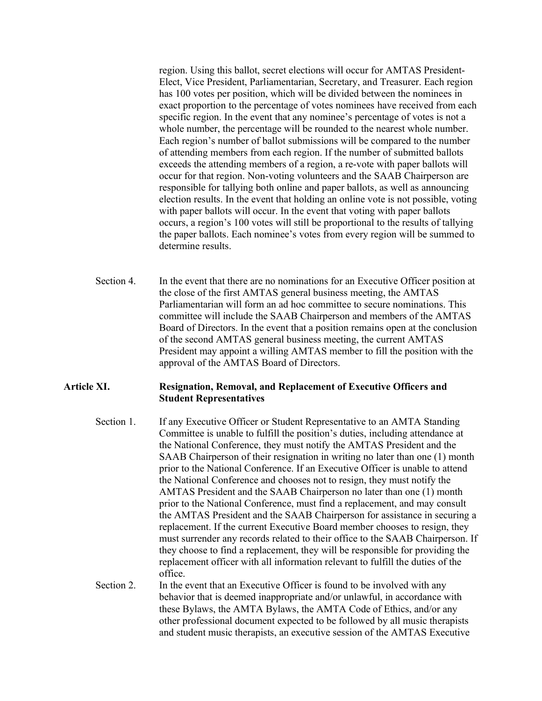region. Using this ballot, secret elections will occur for AMTAS President-Elect, Vice President, Parliamentarian, Secretary, and Treasurer. Each region has 100 votes per position, which will be divided between the nominees in exact proportion to the percentage of votes nominees have received from each specific region. In the event that any nominee's percentage of votes is not a whole number, the percentage will be rounded to the nearest whole number. Each region's number of ballot submissions will be compared to the number of attending members from each region. If the number of submitted ballots exceeds the attending members of a region, a re-vote with paper ballots will occur for that region. Non-voting volunteers and the SAAB Chairperson are responsible for tallying both online and paper ballots, as well as announcing election results. In the event that holding an online vote is not possible, voting with paper ballots will occur. In the event that voting with paper ballots occurs, a region's 100 votes will still be proportional to the results of tallying the paper ballots. Each nominee's votes from every region will be summed to determine results.

Section 4. In the event that there are no nominations for an Executive Officer position at the close of the first AMTAS general business meeting, the AMTAS Parliamentarian will form an ad hoc committee to secure nominations. This committee will include the SAAB Chairperson and members of the AMTAS Board of Directors. In the event that a position remains open at the conclusion of the second AMTAS general business meeting, the current AMTAS President may appoint a willing AMTAS member to fill the position with the approval of the AMTAS Board of Directors.

### **Article XI. Resignation, Removal, and Replacement of Executive Officers and Student Representatives**

- Section 1. If any Executive Officer or Student Representative to an AMTA Standing Committee is unable to fulfill the position's duties, including attendance at the National Conference, they must notify the AMTAS President and the SAAB Chairperson of their resignation in writing no later than one (1) month prior to the National Conference. If an Executive Officer is unable to attend the National Conference and chooses not to resign, they must notify the AMTAS President and the SAAB Chairperson no later than one (1) month prior to the National Conference, must find a replacement, and may consult the AMTAS President and the SAAB Chairperson for assistance in securing a replacement. If the current Executive Board member chooses to resign, they must surrender any records related to their office to the SAAB Chairperson. If they choose to find a replacement, they will be responsible for providing the replacement officer with all information relevant to fulfill the duties of the office.
- Section 2. In the event that an Executive Officer is found to be involved with any behavior that is deemed inappropriate and/or unlawful, in accordance with these Bylaws, the AMTA Bylaws, the AMTA Code of Ethics, and/or any other professional document expected to be followed by all music therapists and student music therapists, an executive session of the AMTAS Executive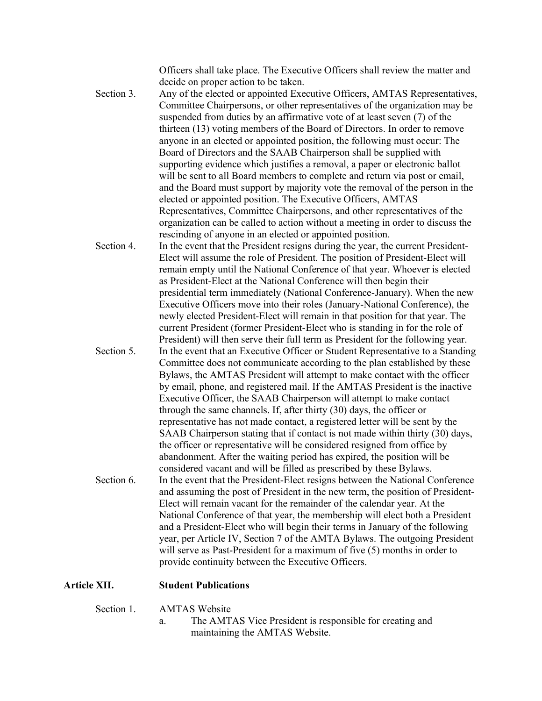Officers shall take place. The Executive Officers shall review the matter and decide on proper action to be taken.

- Section 3. Any of the elected or appointed Executive Officers, AMTAS Representatives, Committee Chairpersons, or other representatives of the organization may be suspended from duties by an affirmative vote of at least seven (7) of the thirteen (13) voting members of the Board of Directors. In order to remove anyone in an elected or appointed position, the following must occur: The Board of Directors and the SAAB Chairperson shall be supplied with supporting evidence which justifies a removal, a paper or electronic ballot will be sent to all Board members to complete and return via post or email, and the Board must support by majority vote the removal of the person in the elected or appointed position. The Executive Officers, AMTAS Representatives, Committee Chairpersons, and other representatives of the organization can be called to action without a meeting in order to discuss the rescinding of anyone in an elected or appointed position.
- Section 4. In the event that the President resigns during the year, the current President-Elect will assume the role of President. The position of President-Elect will remain empty until the National Conference of that year. Whoever is elected as President-Elect at the National Conference will then begin their presidential term immediately (National Conference-January). When the new Executive Officers move into their roles (January-National Conference), the newly elected President-Elect will remain in that position for that year. The current President (former President-Elect who is standing in for the role of President) will then serve their full term as President for the following year. Section 5. In the event that an Executive Officer or Student Representative to a Standing Committee does not communicate according to the plan established by these Bylaws, the AMTAS President will attempt to make contact with the officer by email, phone, and registered mail. If the AMTAS President is the inactive Executive Officer, the SAAB Chairperson will attempt to make contact through the same channels. If, after thirty (30) days, the officer or representative has not made contact, a registered letter will be sent by the SAAB Chairperson stating that if contact is not made within thirty (30) days, the officer or representative will be considered resigned from office by abandonment. After the waiting period has expired, the position will be considered vacant and will be filled as prescribed by these Bylaws. Section 6. In the event that the President-Elect resigns between the National Conference and assuming the post of President in the new term, the position of President-Elect will remain vacant for the remainder of the calendar year. At the National Conference of that year, the membership will elect both a President and a President-Elect who will begin their terms in January of the following year, per Article IV, Section 7 of the AMTA Bylaws. The outgoing President will serve as Past-President for a maximum of five (5) months in order to

### **Article XII. Student Publications**

Section 1. AMTAS Website

a. The AMTAS Vice President is responsible for creating and maintaining the AMTAS Website.

provide continuity between the Executive Officers.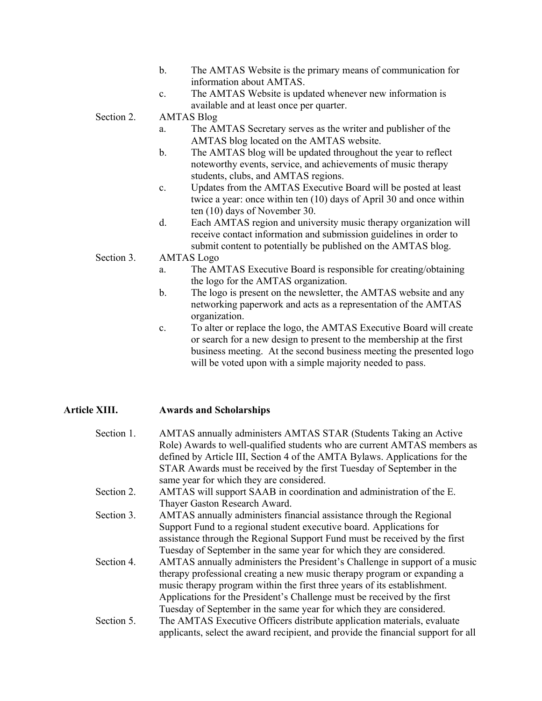- b. The AMTAS Website is the primary means of communication for information about AMTAS.
- c. The AMTAS Website is updated whenever new information is available and at least once per quarter.

Section 2. AMTAS Blog

- a. The AMTAS Secretary serves as the writer and publisher of the AMTAS blog located on the AMTAS website.
- b. The AMTAS blog will be updated throughout the year to reflect noteworthy events, service, and achievements of music therapy students, clubs, and AMTAS regions.
- c. Updates from the AMTAS Executive Board will be posted at least twice a year: once within ten (10) days of April 30 and once within ten (10) days of November 30.
- d. Each AMTAS region and university music therapy organization will receive contact information and submission guidelines in order to submit content to potentially be published on the AMTAS blog.
- Section 3. AMTAS Logo
	- a. The AMTAS Executive Board is responsible for creating/obtaining the logo for the AMTAS organization.
	- b. The logo is present on the newsletter, the AMTAS website and any networking paperwork and acts as a representation of the AMTAS organization.
	- c. To alter or replace the logo, the AMTAS Executive Board will create or search for a new design to present to the membership at the first business meeting. At the second business meeting the presented logo will be voted upon with a simple majority needed to pass.

## **Article XIII. Awards and Scholarships**

| Section 1. | AMTAS annually administers AMTAS STAR (Students Taking an Active                  |
|------------|-----------------------------------------------------------------------------------|
|            | Role) Awards to well-qualified students who are current AMTAS members as          |
|            | defined by Article III, Section 4 of the AMTA Bylaws. Applications for the        |
|            | STAR Awards must be received by the first Tuesday of September in the             |
|            | same year for which they are considered.                                          |
| Section 2. | AMTAS will support SAAB in coordination and administration of the E.              |
|            | Thayer Gaston Research Award.                                                     |
| Section 3. | AMTAS annually administers financial assistance through the Regional              |
|            | Support Fund to a regional student executive board. Applications for              |
|            | assistance through the Regional Support Fund must be received by the first        |
|            | Tuesday of September in the same year for which they are considered.              |
| Section 4. | AMTAS annually administers the President's Challenge in support of a music        |
|            | therapy professional creating a new music therapy program or expanding a          |
|            | music therapy program within the first three years of its establishment.          |
|            | Applications for the President's Challenge must be received by the first          |
|            | Tuesday of September in the same year for which they are considered.              |
| Section 5. | The AMTAS Executive Officers distribute application materials, evaluate           |
|            | applicants, select the award recipient, and provide the financial support for all |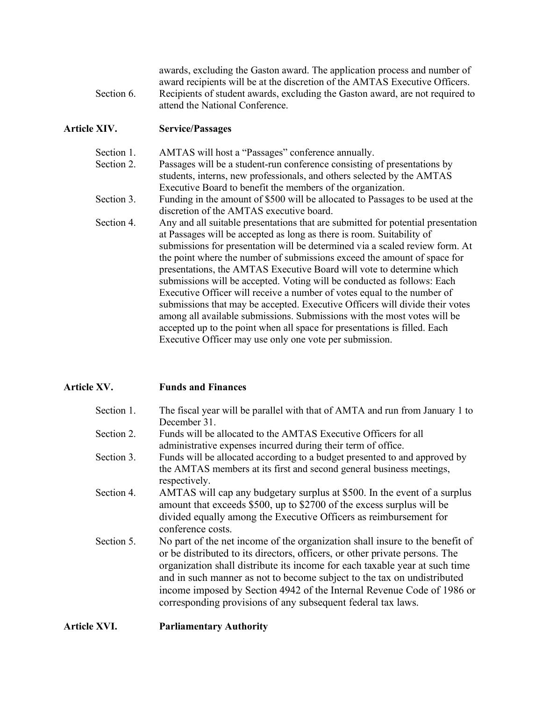awards, excluding the Gaston award. The application process and number of award recipients will be at the discretion of the AMTAS Executive Officers. Section 6. Recipients of student awards, excluding the Gaston award, are not required to attend the National Conference.

### **Article XIV. Service/Passages**

Section 1. AMTAS will host a "Passages" conference annually. Section 2. Passages will be a student-run conference consisting of presentations by students, interns, new professionals, and others selected by the AMTAS Executive Board to benefit the members of the organization.

Section 3. Funding in the amount of \$500 will be allocated to Passages to be used at the discretion of the AMTAS executive board.

Section 4. Any and all suitable presentations that are submitted for potential presentation at Passages will be accepted as long as there is room. Suitability of submissions for presentation will be determined via a scaled review form. At the point where the number of submissions exceed the amount of space for presentations, the AMTAS Executive Board will vote to determine which submissions will be accepted. Voting will be conducted as follows: Each Executive Officer will receive a number of votes equal to the number of submissions that may be accepted. Executive Officers will divide their votes among all available submissions. Submissions with the most votes will be accepted up to the point when all space for presentations is filled. Each Executive Officer may use only one vote per submission.

## **Article XV. Funds and Finances**

| Section 1. | The fiscal year will be parallel with that of AMTA and run from January 1 to                                                                                                                                                               |
|------------|--------------------------------------------------------------------------------------------------------------------------------------------------------------------------------------------------------------------------------------------|
|            | December 31.                                                                                                                                                                                                                               |
| Section 2. | Funds will be allocated to the AMTAS Executive Officers for all                                                                                                                                                                            |
|            | administrative expenses incurred during their term of office.                                                                                                                                                                              |
| Section 3. | Funds will be allocated according to a budget presented to and approved by                                                                                                                                                                 |
|            | the AMTAS members at its first and second general business meetings,<br>respectively.                                                                                                                                                      |
| Section 4. | AMTAS will cap any budgetary surplus at \$500. In the event of a surplus                                                                                                                                                                   |
|            | amount that exceeds \$500, up to \$2700 of the excess surplus will be                                                                                                                                                                      |
|            | divided equally among the Executive Officers as reimbursement for                                                                                                                                                                          |
|            | conference costs.                                                                                                                                                                                                                          |
| Section 5. | No part of the net income of the organization shall insure to the benefit of<br>or be distributed to its directors, officers, or other private persons. The<br>organization shall distribute its income for each taxable year at such time |
|            | and in such manner as not to become subject to the tax on undistributed                                                                                                                                                                    |
|            | income imposed by Section 4942 of the Internal Revenue Code of 1986 or<br>corresponding provisions of any subsequent federal tax laws.                                                                                                     |
|            |                                                                                                                                                                                                                                            |

### **Article XVI. Parliamentary Authority**